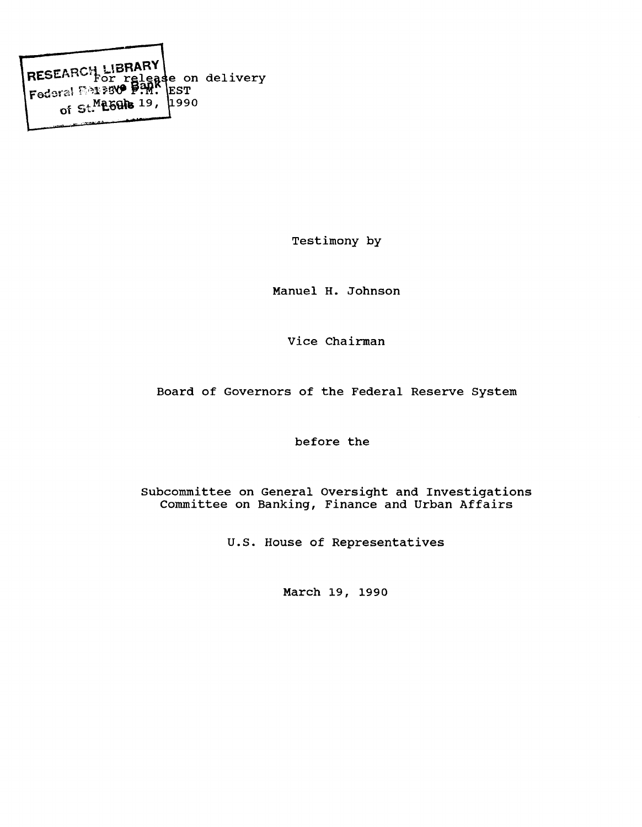RESEARCH LIBRARY **e on delivery** RESERVETFor<br>Federal 1991 **EST** of  $St$ <sup>M</sup>E6Gle  $19$ , **990**

**Testimony by**

**Manuel H. Johnson**

**Vice Chairman**

**Board of Governors of the Federal Reserve System**

**before the**

**Subcommittee on General Oversight and Investigations Committee on Banking, Finance and Urban Affairs**

**U.S. House of Representatives**

**March 19, 1990**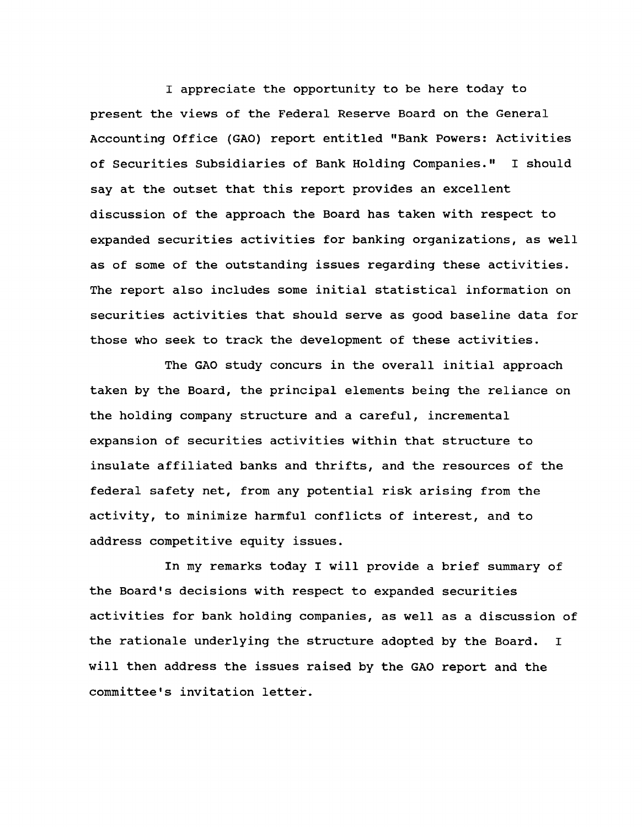**I appreciate the opportunity to be here today to present the views of the Federal Reserve Board on the General Accounting Office (GAO) report entitled "Bank Powers: Activities of Securities Subsidiaries of Bank Holding Companies." I should say at the outset that this report provides an excellent discussion of the approach the Board has taken with respect to expanded securities activities for banking organizations, as well as of some of the outstanding issues regarding these activities. The report also includes some initial statistical information on securities activities that should serve as good baseline data for those who seek to track the development of these activities.**

**The GAO study concurs in the overall initial approach taken by the Board, the principal elements being the reliance on the holding company structure and a careful, incremental expansion of securities activities within that structure to insulate affiliated banks and thrifts, and the resources of the federal safety net, from any potential risk arising from the activity, to minimize harmful conflicts of interest, and to address competitive equity issues.**

**In my remarks today I will provide a brief summary of the Board's decisions with respect to expanded securities activities for bank holding companies, as well as a discussion of the rationale underlying the structure adopted by the Board. I will then address the issues raised by the GAO report and the** committee's invitation letter.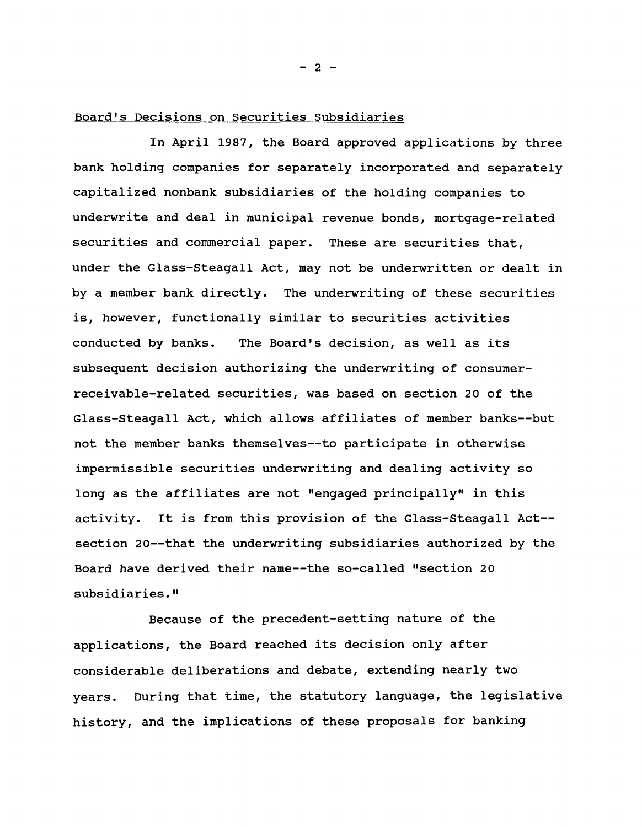## **Board's Decisions on Securities Subsidiaries**

**In April 1987, the Board approved applications by three bank holding companies for separately incorporated and separately capitalized nonbank subsidiaries of the holding companies to underwrite and deal in municipal revenue bonds, mortgage-related securities and commercial paper. These are securities that, under the Glass-Steagall Act, may not be underwritten or dealt in by a member bank directly. The underwriting of these securities is, however, functionally similar to securities activities conducted by banks. The Board's decision, as well as its subsequent decision authorizing the underwriting of consumerreceivable-related securities, was based on section 20 of the Glass-Steagall Act, which allows affiliates of member banks— but not the member banks themselves— to participate in otherwise impermissible securities underwriting and dealing activity so long as the affiliates are not "engaged principally" in this activity. It is from this provision of the Glass-Steagall Act section 20— that the underwriting subsidiaries authorized by the Board have derived their name— the so-called "section 20 subsidiaries."**

**Because of the precedent-setting nature of the applications, the Board reached its decision only after considerable deliberations and debate, extending nearly two years. During that time, the statutory language, the legislative history, and the implications of these proposals for banking**

**- 2 -**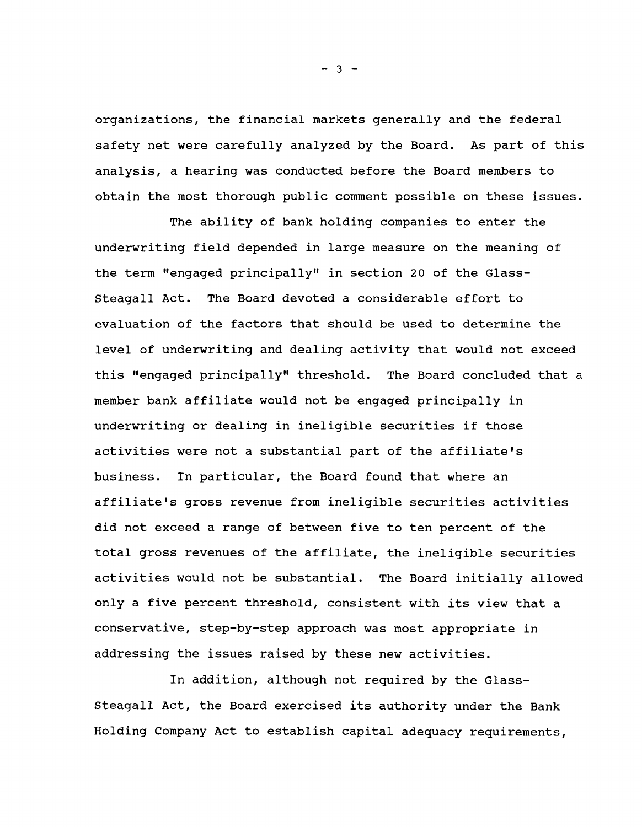**organizations, the financial markets generally and the federal safety net were carefully analyzed by the Board. As part of this analysis, a hearing was conducted before the Board members to obtain the most thorough public comment possible on these issues.**

**The ability of bank holding companies to enter the underwriting field depended in large measure on the meaning of the term "engaged principally" in section 20 of the Glass-Steagall Act. The Board devoted a considerable effort to evaluation of the factors that should be used to determine the level of underwriting and dealing activity that would not exceed this "engaged principally" threshold. The Board concluded that a member bank affiliate would not be engaged principally in underwriting or dealing in ineligible securities if those activities were not a substantial part of the affiliate's business. In particular, the Board found that where an affiliate's gross revenue from ineligible securities activities did not exceed a range of between five to ten percent of the total gross revenues of the affiliate, the ineligible securities activities would not be substantial. The Board initially allowed only a five percent threshold, consistent with its view that a conservative, step-by-step approach was most appropriate in addressing the issues raised by these new activities.**

**In addition, although not required by the Glass-Steagall Act, the Board exercised its authority under the Bank Holding Company Act to establish capital adequacy requirements,**

**- 3 -**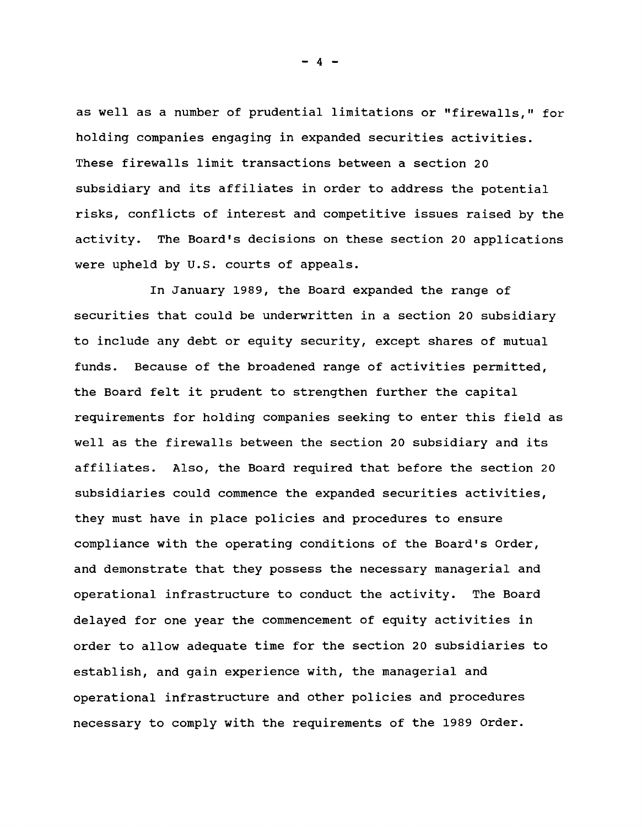**as well as a number of prudential limitations or "firewalls," for holding companies engaging in expanded securities activities. These firewalls limit transactions between a section 20 subsidiary and its affiliates in order to address the potential risks, conflicts of interest and competitive issues raised by the activity. The Board's decisions on these section 20 applications were upheld by U.S. courts of appeals.**

**In January 1989, the Board expanded the range of securities that could be underwritten in a section 20 subsidiary to include any debt or equity security, except shares of mutual funds. Because of the broadened range of activities permitted, the Board felt it prudent to strengthen further the capital requirements for holding companies seeking to enter this field as well as the firewalls between the section 20 subsidiary and its affiliates. Also, the Board required that before the section 20 subsidiaries could commence the expanded securities activities, they must have in place policies and procedures to ensure compliance with the operating conditions of the Board's Order, and demonstrate that they possess the necessary managerial and operational infrastructure to conduct the activity. The Board delayed for one year the commencement of equity activities in order to allow adequate time for the section 20 subsidiaries to establish, and gain experience with, the managerial and operational infrastructure and other policies and procedures necessary to comply with the requirements of the 1989 Order.**

**- 4 -**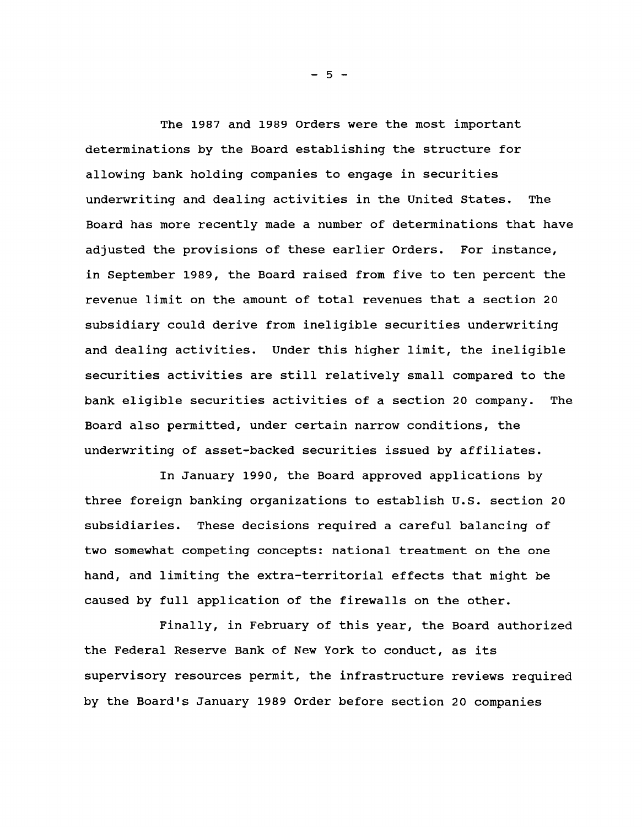**The 1987 and 1989 Orders were the most important determinations by the Board establishing the structure for allowing bank holding companies to engage in securities underwriting and dealing activities in the United States. The Board has more recently made a number of determinations that have adjusted the provisions of these earlier Orders. For instance, in September 1989, the Board raised from five to ten percent the revenue limit on the amount of total revenues that a section 20 subsidiary could derive from ineligible securities underwriting and dealing activities. Under this higher limit, the ineligible securities activities are still relatively small compared to the bank eligible securities activities of a section 20 company. The Board also permitted, under certain narrow conditions, the underwriting of asset-backed securities issued by affiliates.**

**In January 1990, the Board approved applications by three foreign banking organizations to establish U.S. section 20 subsidiaries. These decisions required a careful balancing of two somewhat competing concepts: national treatment on the one hand, and limiting the extra-territorial effects that might be caused by full application of the firewalls on the other.**

**Finally, in February of this year, the Board authorized the Federal Reserve Bank of New York to conduct, as its supervisory resources permit, the infrastructure reviews required by the Board's January 1989 Order before section 20 companies**

**- 5 -**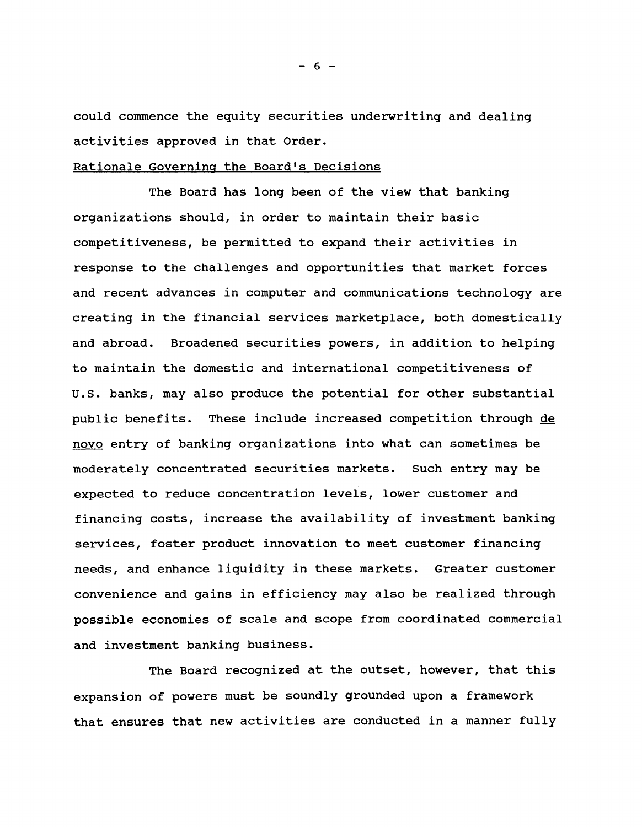**could commence the equity securities underwriting and dealing activities approved in that Order.**

## **Rationale Governing the Board's Decisions**

**The Board has long been of the view that banking organizations should, in order to maintain their basic competitiveness, be permitted to expand their activities in response to the challenges and opportunities that market forces and recent advances in computer and communications technology are creating in the financial services marketplace, both domestically and abroad. Broadened securities powers, in addition to helping to maintain the domestic and international competitiveness of U.S. banks, may also produce the potential for other substantial public benefits. These include increased competition through de novo entry of banking organizations into what can sometimes be moderately concentrated securities markets. Such entry may be expected to reduce concentration levels, lower customer and financing costs, increase the availability of investment banking services, foster product innovation to meet customer financing needs, and enhance liquidity in these markets. Greater customer convenience and gains in efficiency may also be realized through possible economies of scale and scope from coordinated commercial and investment banking business.**

**The Board recognized at the outset, however, that this expansion of powers must be soundly grounded upon a framework that ensures that new activities are conducted in a manner fully**

**- 6 -**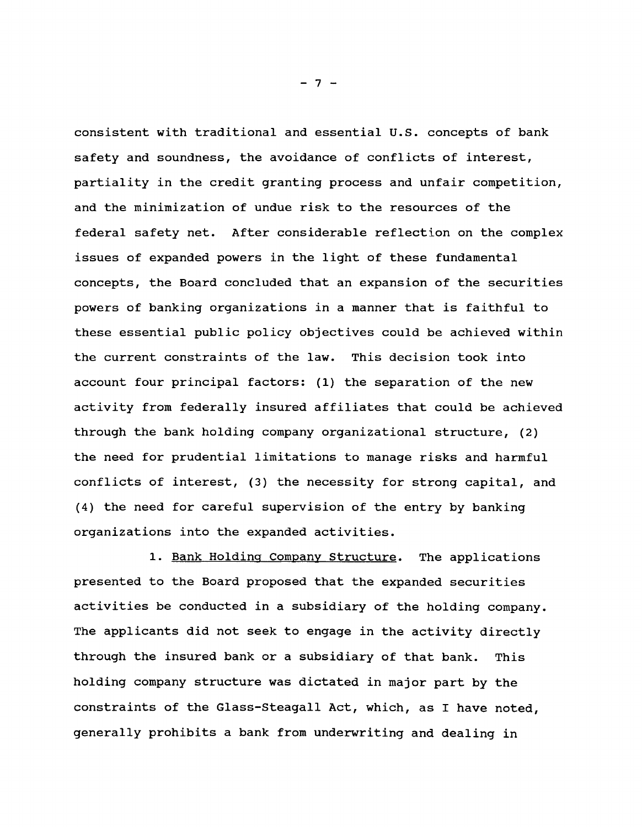**consistent with traditional and essential U.S. concepts of bank safety and soundness, the avoidance of conflicts of interest, partiality in the credit granting process and unfair competition, and the minimization of undue risk to the resources of the federal safety net. After considerable reflection on the complex issues of expanded powers in the light of these fundamental concepts, the Board concluded that an expansion of the securities powers of banking organizations in a manner that is faithful to these essential public policy objectives could be achieved within the current constraints of the law. This decision took into account four principal factors: (1) the separation of the new activity from federally insured affiliates that could be achieved through the bank holding company organizational structure, (2) the need for prudential limitations to manage risks and harmful conflicts of interest, (3) the necessity for strong capital, and (4) the need for careful supervision of the entry by banking organizations into the expanded activities.**

**1. Bank Holding Company Structure. The applications presented to the Board proposed that the expanded securities activities be conducted in a subsidiary of the holding company. The applicants did not seek to engage in the activity directly through the insured bank or a subsidiary of that bank. This holding company structure was dictated in major part by the constraints of the Glass-Steagall Act, which, as I have noted, generally prohibits a bank from underwriting and dealing in**

**- 7 -**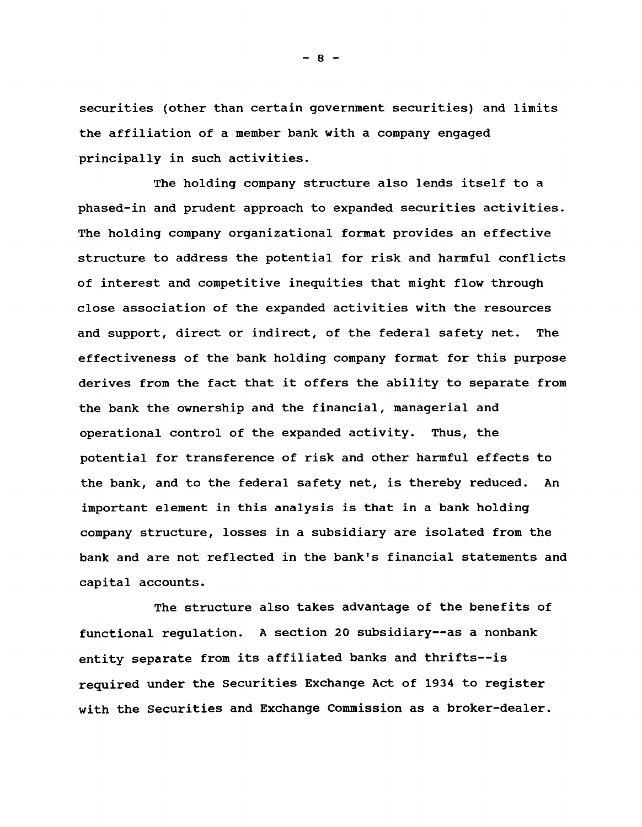**securities (other than certain government securities) and limits the affiliation of a member bank with a company engaged principally in such activities.**

**The holding company structure also lends itself to a phased-in and prudent approach to expanded securities activities. The holding company organizational format provides an effective structure to address the potential for risk and harmful conflicts of interest and competitive inequities that might flow through close association of the expanded activities with the resources and support, direct or indirect, of the federal safety net. The effectiveness of the bank holding company format for this purpose derives from the fact that it offers the ability to separate from the bank the ownership and the financial, managerial and operational control of the expanded activity. Thus, the potential for transference of risk and other harmful effects to the bank, and to the federal safety net, is thereby reduced. An important element in this analysis is that in a bank holding company structure, losses in a subsidiary are isolated from the bank and are not reflected in the bank's financial statements and capital accounts.**

**The structure also takes advantage of the benefits of functional regulation. A section 20 subsidiary— as a nonbank entity separate from its affiliated banks and thrifts— is required under the Securities Exchange Act of 1934 to register with the Securities and Exchange Commission as a broker-dealer.**

**- 8 -**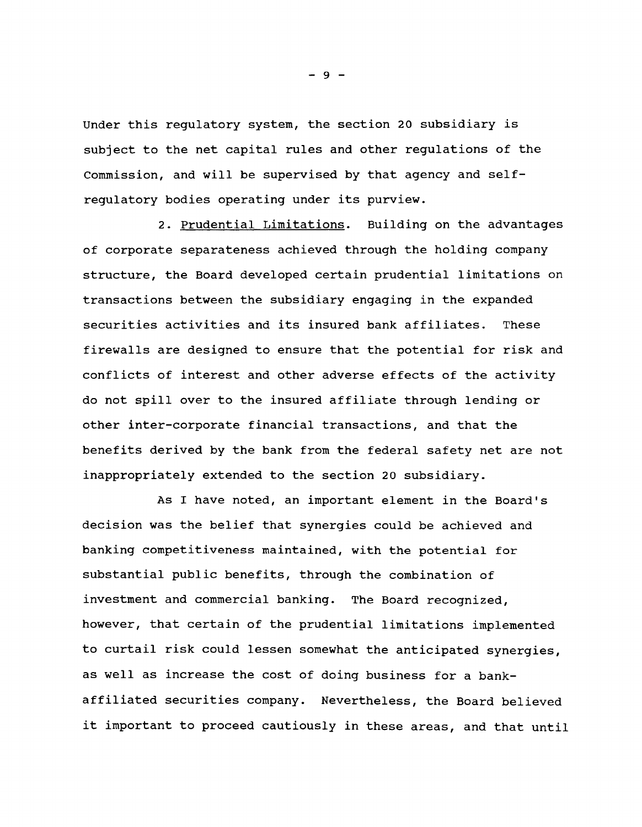**Under this regulatory system, the section 20 subsidiary is subject to the net capital rules and other regulations of the Commission, and will be supervised by that agency and selfregulatory bodies operating under its purview.**

**2. Prudential Limitations. Building on the advantages of corporate separateness achieved through the holding company structure, the Board developed certain prudential limitations on transactions between the subsidiary engaging in the expanded securities activities and its insured bank affiliates. These firewalls are designed to ensure that the potential for risk and conflicts of interest and other adverse effects of the activity do not spill over to the insured affiliate through lending or other inter-corporate financial transactions, and that the benefits derived by the bank from the federal safety net are not inappropriately extended to the section 20 subsidiary.**

**As I have noted, an important element in the Board's decision was the belief that synergies could be achieved and banking competitiveness maintained, with the potential for substantial public benefits, through the combination of investment and commercial banking. The Board recognized, however, that certain of the prudential limitations implemented to curtail risk could lessen somewhat the anticipated synergies, as well as increase the cost of doing business for a bankaffiliated securities company. Nevertheless, the Board believed it important to proceed cautiously in these areas, and that until**

**- 9 -**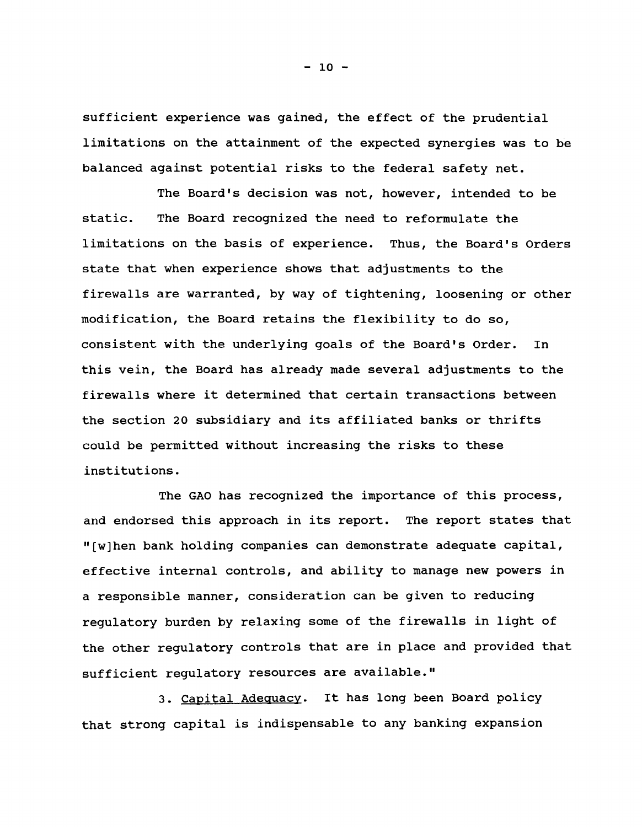**sufficient experience was gained, the effect of the prudential limitations on the attainment of the expected synergies was to be balanced against potential risks to the federal safety net.**

**The Board's decision was not, however, intended to be static. The Board recognized the need to reformulate the limitations on the basis of experience. Thus, the Board's Orders state that when experience shows that adjustments to the firewalls are warranted, by way of tightening, loosening or other modification, the Board retains the flexibility to do so, consistent with the underlying goals of the Board's Order. In this vein, the Board has already made several adjustments to the firewalls where it determined that certain transactions between the section 20 subsidiary and its affiliated banks or thrifts could be permitted without increasing the risks to these institutions.**

**The GAO has recognized the importance of this process, and endorsed this approach in its report. The report states that "[w]hen bank holding companies can demonstrate adequate capital, effective internal controls, and ability to manage new powers in a responsible manner, consideration can be given to reducing regulatory burden by relaxing some of the firewalls in light of the other regulatory controls that are in place and provided that sufficient regulatory resources are available."**

**3. Capital Adequacy. It has long been Board policy that strong capital is indispensable to any banking expansion**

**- 10 -**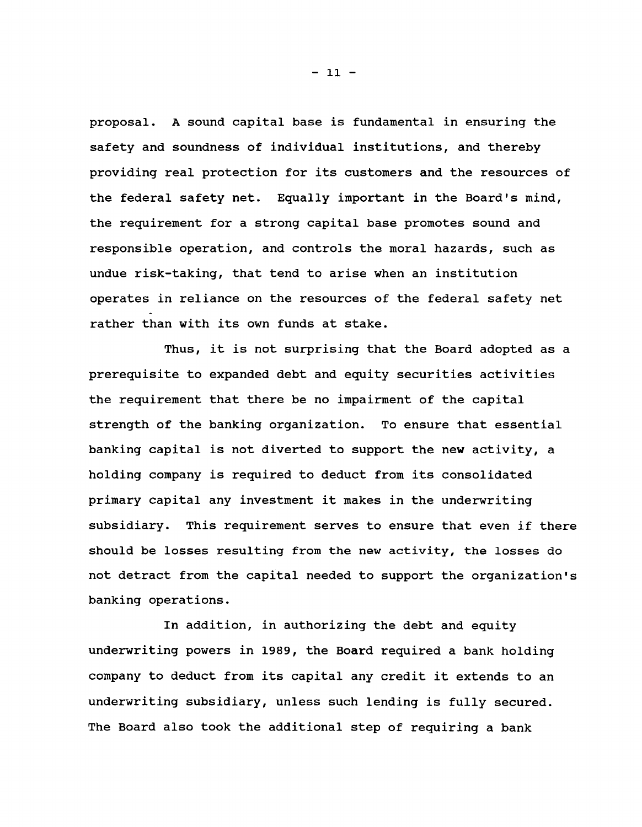**proposal. A sound capital base is fundamental in ensuring the safety and soundness of individual institutions, and thereby providing real protection for its customers and the resources of the federal safety net. Equally important in the Board's mind, the requirement for a strong capital base promotes sound and responsible operation, and controls the moral hazards, such as undue risk-taking, that tend to arise when an institution operates in reliance on the resources of the federal safety net rather than with its own funds at stake.**

**Thus, it is not surprising that the Board adopted as a prerequisite to expanded debt and equity securities activities the requirement that there be no impairment of the capital strength of the banking organization. To ensure that essential banking capital is not diverted to support the new activity, a holding company is required to deduct from its consolidated primary capital any investment it makes in the underwriting subsidiary. This requirement serves to ensure that even if there should be losses resulting from the new activity, the losses do not detract from the capital needed to support the organization's banking operations.**

**In addition, in authorizing the debt and equity underwriting powers in 1989, the Board required a bank holding company to deduct from its capital any credit it extends to an underwriting subsidiary, unless such lending is fully secured. The Board also took the additional step of requiring a bank**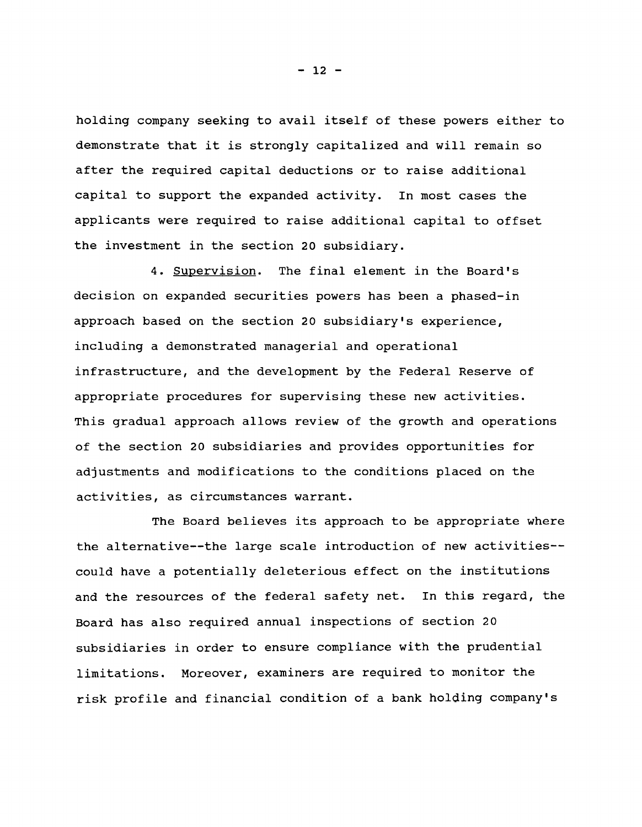**holding company seeking to avail itself of these powers either to demonstrate that it is strongly capitalized and will remain so after the required capital deductions or to raise additional capital to support the expanded activity. In most cases the applicants were required to raise additional capital to offset the investment in the section 20 subsidiary.**

**4. Supervision. The final element in the Board's decision on expanded securities powers has been a phased-in approach based on the section 20 subsidiary's experience, including a demonstrated managerial and operational infrastructure, and the development by the Federal Reserve of appropriate procedures for supervising these new activities. This gradual approach allows review of the growth and operations of the section 20 subsidiaries and provides opportunities for adjustments and modifications to the conditions placed on the activities, as circumstances warrant.**

**The Board believes its approach to be appropriate where the alternative— the large scale introduction of new activities could have a potentially deleterious effect on the institutions and the resources of the federal safety net. In this regard, the** Board has also required annual inspections of section 20 **subsidiaries in order to ensure compliance with the prudential limitations. Moreover, examiners are required to monitor the risk profile and financial condition of a bank holding company's**

**- 12 -**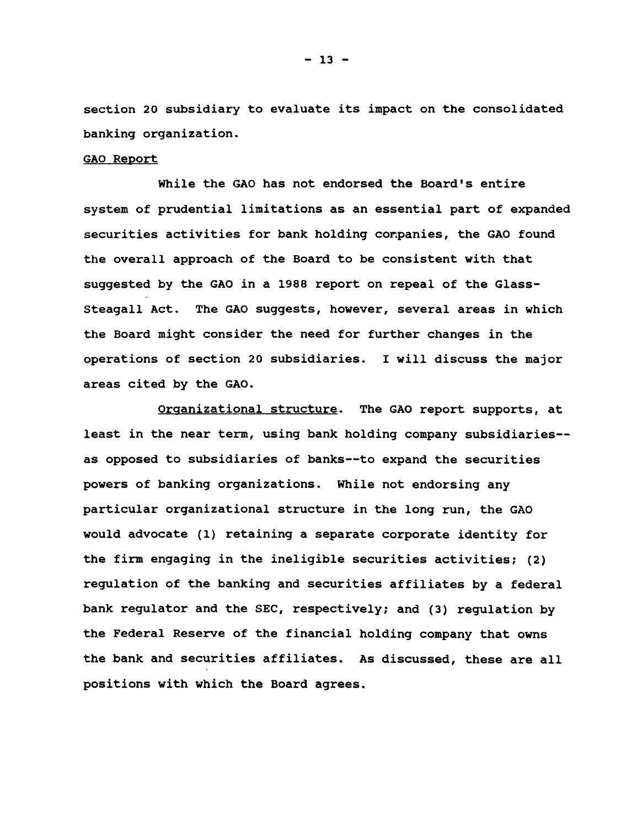**section 20 subsidiary to evaluate its impact on the consolidated banking organization.**

## **GAO Report**

**While the GAO has not endorsed the Board's entire system of prudential limitations as an essential part of expanded securities activities for bank holding conpanies, the GAO found the overall approach of the Board to be consistent with that suggested by the GAO in a 1988 report on repeal of the Glass-Steagall Act. The GAO suggests, however, several areas in which the Board might consider the need for further changes in the operations of section 20 subsidiaries. I will discuss the major areas cited by the GAO.**

**Organizational structure. The GAO report supports, at least in the near term, using bank holding company subsidiaries as opposed to subsidiaries of banks— to expand the securities powers of banking organizations. While not endorsing any particular organizational structure in the long run, the GAO would advocate (1) retaining a separate corporate identity for the firm engaging in the ineligible securities activities; (2) regulation of the banking and securities affiliates by a federal bank regulator and the SEC, respectively; and (3) regulation by the Federal Reserve of the financial holding company that owns the bank and securities affiliates. As discussed, these are all positions with which the Board agrees.**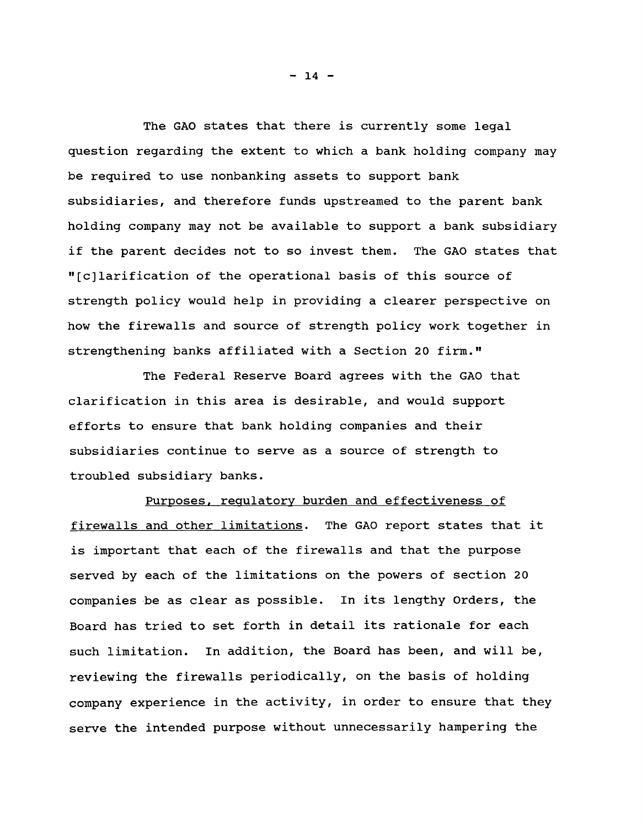**The GAO states that there is currently some legal question regarding the extent to which a bank holding company may be required to use nonbanking assets to support bank subsidiaries, and therefore funds upstreamed to the parent bank holding company may not be available to support a bank subsidiary if the parent decides not to so invest them. The GAO states that " [c]larification of the operational basis of this source of strength policy would help in providing a clearer perspective on how the firewalls and source of strength policy work together in strengthening banks affiliated with a Section 20 firm."**

**The Federal Reserve Board agrees with the GAO that clarification in this area is desirable, and would support efforts to ensure that bank holding companies and their subsidiaries continue to serve as a source of strength to troubled subsidiary banks.**

**Purposes, regulatory burden and effectiveness of firewalls and other limitations. The GAO report states that it is important that each of the firewalls and that the purpose served by each of the limitations on the powers of section 20 companies be as clear as possible. In its lengthy Orders, the Board has tried to set forth in detail its rationale for each such limitation. In addition, the Board has been, and will be, reviewing the firewalls periodically, on the basis of holding company experience in the activity, in order to ensure that they serve the intended purpose without unnecessarily hampering the**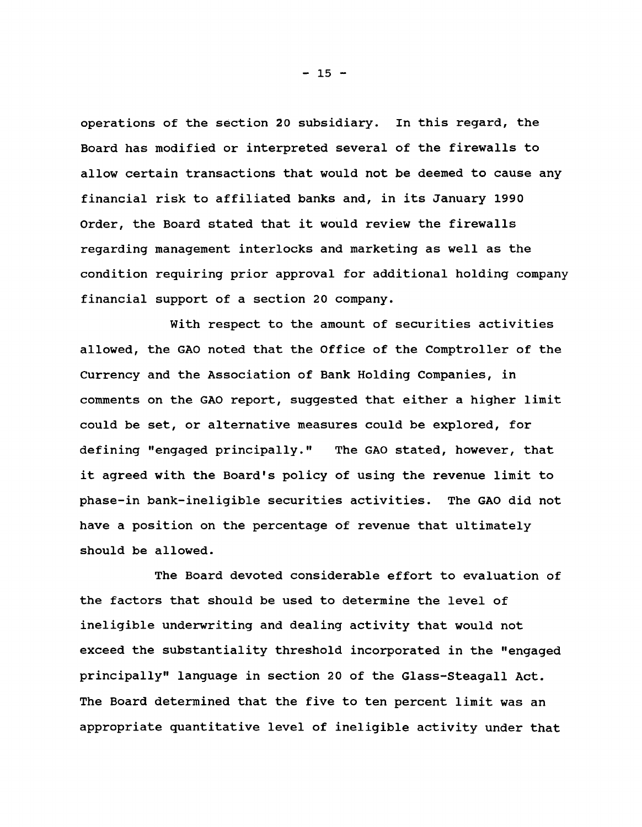**operations of the section 20 subsidiary. In this regard, the Board has modified or interpreted several of the firewalls to allow certain transactions that would not be deemed to cause any financial risk to affiliated banks and, in its January 1990 Order, the Board stated that it would review the firewalls regarding management interlocks and marketing as well as the condition requiring prior approval for additional holding company financial support of a section 20 company.**

**With respect to the amount of securities activities allowed, the GAO noted that the Office of the Comptroller of the Currency and the Association of Bank Holding Companies, in comments on the GAO report, suggested that either a higher limit could be set, or alternative measures could be explored, for defining "engaged principally." The GAO stated, however, that it agreed with the Board's policy of using the revenue limit to phase-in bank-ineligible securities activities. The GAO did not have a position on the percentage of revenue that ultimately should be allowed.**

**The Board devoted considerable effort to evaluation of the factors that should be used to determine the level of ineligible underwriting and dealing activity that would not exceed the substantiality threshold incorporated in the "engaged principally" language in section 20 of the Glass-Steagall Act. The Board determined that the five to ten percent limit was an appropriate quantitative level of ineligible activity under that**

**- 15 -**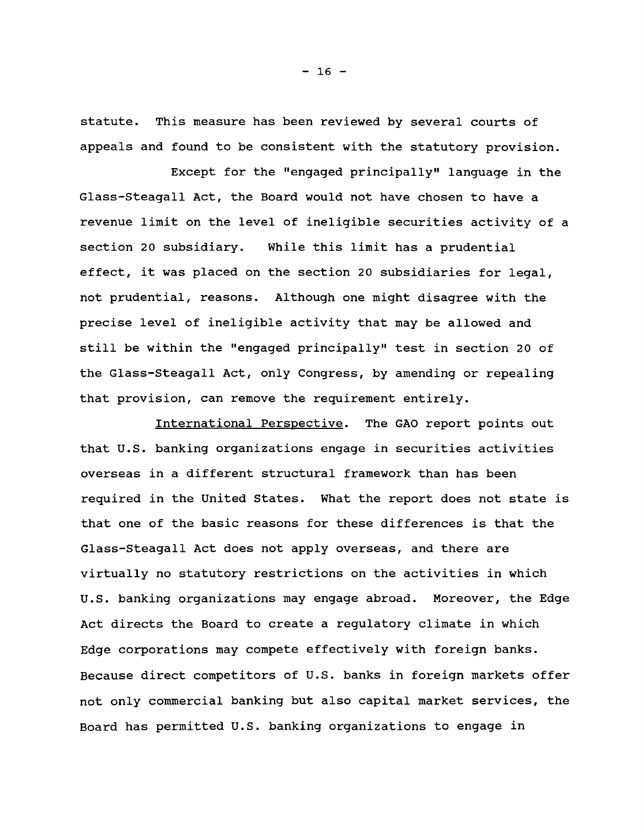**statute. This measure has been reviewed by several courts of appeals and found to be consistent with the statutory provision.**

**Except for the "engaged principally" language in the Glass-Steagall Act, the Board would not have chosen to have a revenue limit on the level of ineligible securities activity of a section 20 subsidiary. While this limit has a prudential effect, it was placed on the section 20 subsidiaries for legal, not prudential, reasons. Although one might disagree with the precise level of ineligible activity that may be allowed and still be within the "engaged principally" test in section 20 of the Glass-Steagall Act, only Congress, by amending or repealing that provision, can remove the requirement entirely.**

**International Perspective. The GAO report points out that U.S. banking organizations engage in securities activities overseas in a different structural framework than has been required in the United States. What the report does not state is that one of the basic reasons for these differences is that the Glass-Steagall Act does not apply overseas, and there are virtually no statutory restrictions on the activities in which U.S. banking organizations may engage abroad. Moreover, the Edge Act directs the Board to create a regulatory climate in which Edge corporations may compete effectively with foreign banks. Because direct competitors of U.S. banks in foreign markets offer not only commercial banking but also capital market services, the Board has permitted U.S. banking organizations to engage in**

**- 16 -**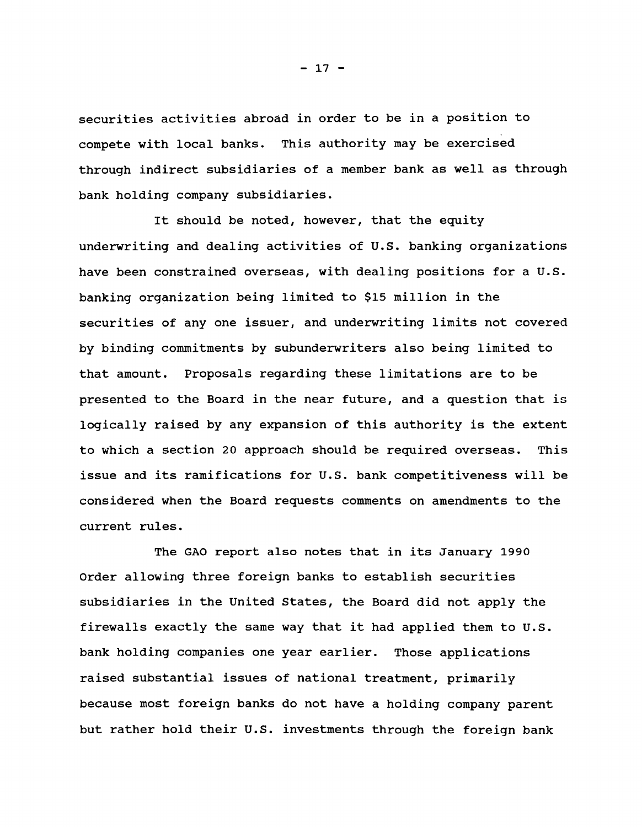**securities activities abroad in order to be in a position to compete with local banks. This authority may be exercised through indirect subsidiaries of a member bank as well as through bank holding company subsidiaries.**

**It should be noted, however, that the equity underwriting and dealing activities of U.S. banking organizations have been constrained overseas, with dealing positions for a U.S. banking organization being limited to \$15 million in the securities of any one issuer, and underwriting limits not covered by binding commitments by subunderwriters also being limited to that amount. Proposals regarding these limitations are to be presented to the Board in the near future, and a question that is logically raised by any expansion of this authority is the extent to which a section 20 approach should be required overseas. This issue and its ramifications for U.S. bank competitiveness will be considered when the Board requests comments on amendments to the current rules.**

**The GAO report also notes that in its January 1990 Order allowing three foreign banks to establish securities subsidiaries in the United States, the Board did not apply the firewalls exactly the same way that it had applied them to U.S. bank holding companies one year earlier. Those applications raised substantial issues of national treatment, primarily because most foreign banks do not have a holding company parent but rather hold their U.S. investments through the foreign bank**

**- 17 -**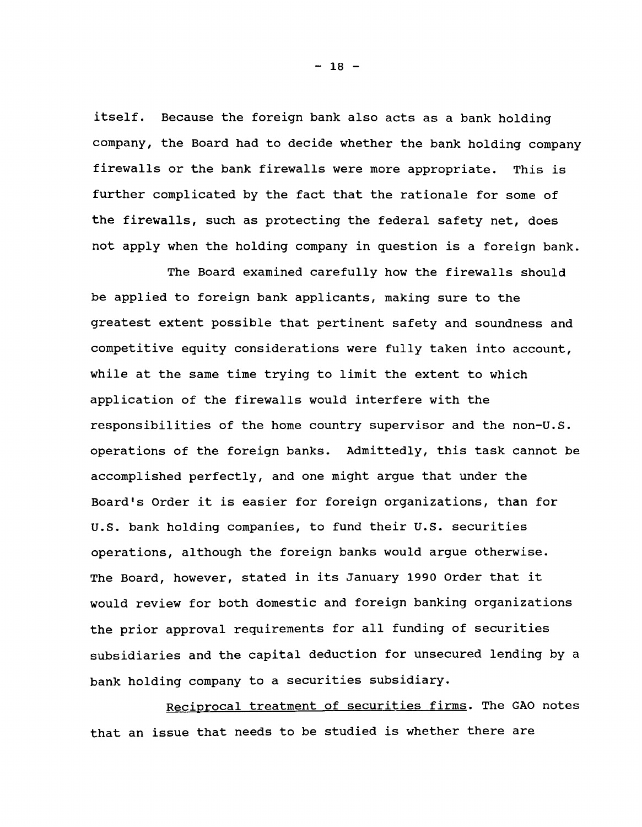**itself. Because the foreign bank also acts as a bank holding company, the Board had to decide whether the bank holding company firewalls or the bank firewalls were more appropriate. This is further complicated by the fact that the rationale for some of the firewalls, such as protecting the federal safety net, does not apply when the holding company in question is a foreign bank.**

**The Board examined carefully how the firewalls should be applied to foreign bank applicants, making sure to the greatest extent possible that pertinent safety and soundness and competitive equity considerations were fully taken into account, while at the same time trying to limit the extent to which application of the firewalls would interfere with the responsibilities of the home country supervisor and the non-U.S. operations of the foreign banks. Admittedly, this task cannot be accomplished perfectly, and one might argue that under the Board's Order it is easier for foreign organizations, than for U.S. bank holding companies, to fund their U.S. securities operations, although the foreign banks would argue otherwise. The Board, however, stated in its January 1990 Order that it would review for both domestic and foreign banking organizations the prior approval requirements for all funding of securities subsidiaries and the capital deduction for unsecured lending by a bank holding company to a securities subsidiary.**

**Reciprocal treatment of securities firms. The GAO notes that an issue that needs to be studied is whether there are**

**- 18 -**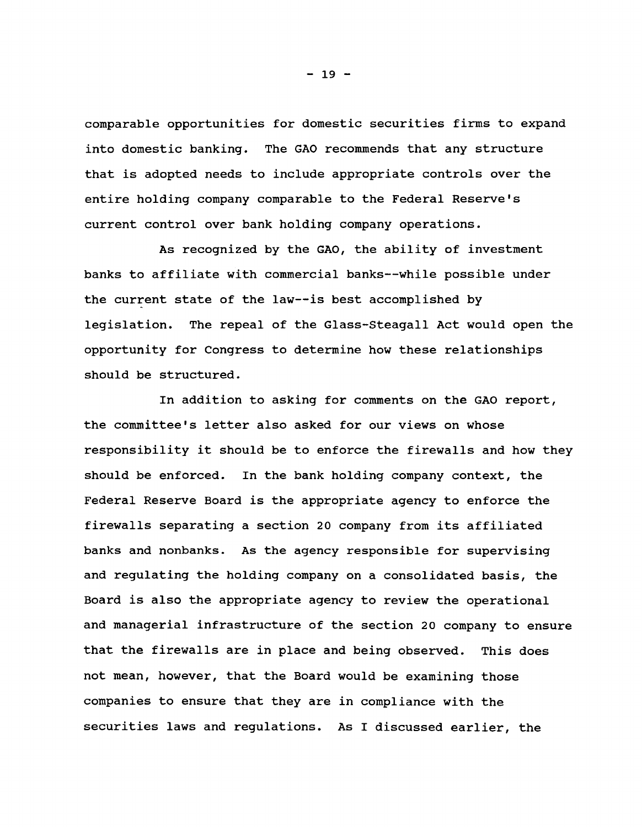**comparable opportunities for domestic securities firms to expand into domestic banking. The GAO recommends that any structure that is adopted needs to include appropriate controls over the entire holding company comparable to the Federal Reserve's current control over bank holding company operations.**

**As recognized by the GAO, the ability of investment banks to affiliate with commercial banks— while possible under the current state of the law— is best accomplished by legislation. The repeal of the Glass-Steagall Act would open the opportunity for Congress to determine how these relationships should be structured.**

**In addition to asking for comments on the GAO report, the committee's letter also asked for our views on whose responsibility it should be to enforce the firewalls and how they should be enforced. In the bank holding company context, the Federal Reserve Board is the appropriate agency to enforce the firewalls separating a section 20 company from its affiliated banks and nonbanks. As the agency responsible for supervising and regulating the holding company on a consolidated basis, the Board is also the appropriate agency to review the operational and managerial infrastructure of the section 20 company to ensure that the firewalls are in place and being observed. This does not mean, however, that the Board would be examining those companies to ensure that they are in compliance with the securities laws and regulations. As I discussed earlier, the**

**- 19 -**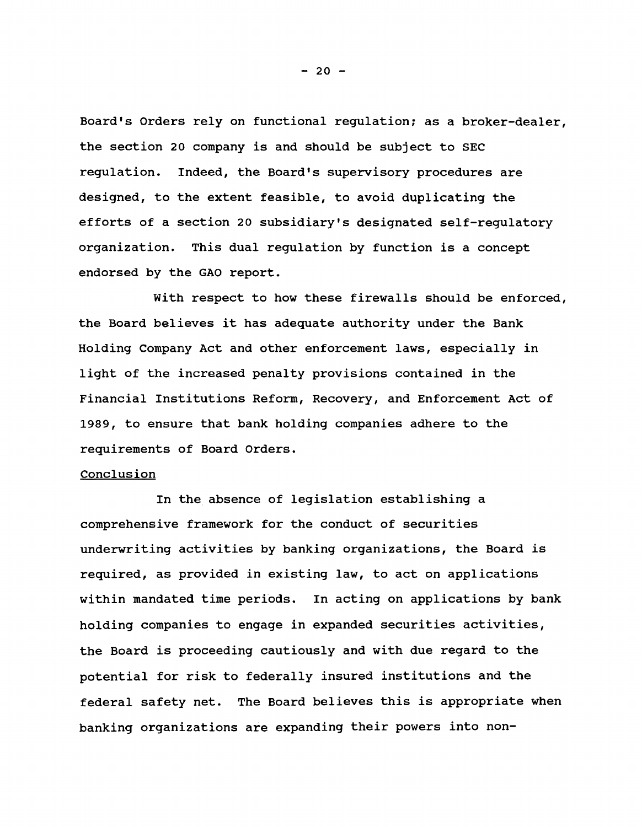**Board's Orders rely on functional regulation; as a broker-dealer, the section 20 company is and should be subject to SEC regulation. Indeed, the Board's supervisory procedures are designed, to the extent feasible, to avoid duplicating the efforts of a section 20 subsidiary's designated self-regulatory organization. This dual regulation by function is a concept endorsed by the GAO report.**

**With respect to how these firewalls should be enforced, the Board believes it has adequate authority under the Bank Holding Company Act and other enforcement laws, especially in light of the increased penalty provisions contained in the Financial Institutions Reform, Recovery, and Enforcement Act of 1989, to ensure that bank holding companies adhere to the requirements of Board Orders.**

## **Conclusion**

**In the absence of legislation establishing a comprehensive framework for the conduct of securities underwriting activities by banking organizations, the Board is required, as provided in existing law, to act on applications within mandated time periods. In acting on applications by bank holding companies to engage in expanded securities activities, the Board is proceeding cautiously and with due regard to the potential for risk to federally insured institutions and the federal safety net. The Board believes this is appropriate when banking organizations are expanding their powers into non-**